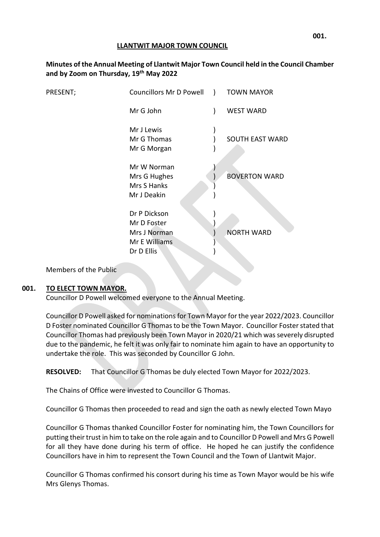### **LLANTWIT MAJOR TOWN COUNCIL**

| Minutes of the Annual Meeting of Llantwit Major Town Council held in the Council Chamber<br>and by Zoom on Thursday, 19th May 2022 |                         |  |                   |  |
|------------------------------------------------------------------------------------------------------------------------------------|-------------------------|--|-------------------|--|
| PRESENT;                                                                                                                           | Councillors Mr D Powell |  | <b>TOWN MAYOR</b> |  |

| . , | councinois ivit by owen y                                                  | .                      |
|-----|----------------------------------------------------------------------------|------------------------|
|     | Mr G John                                                                  | <b>WEST WARD</b>       |
|     | Mr J Lewis<br>Mr G Thomas<br>Mr G Morgan                                   | <b>SOUTH EAST WARD</b> |
|     | Mr W Norman<br>Mrs G Hughes<br>Mrs S Hanks<br>Mr J Deakin                  | <b>BOVERTON WARD</b>   |
|     | Dr P Dickson<br>Mr D Foster<br>Mrs J Norman<br>Mr E Williams<br>Dr D Ellis | <b>NORTH WARD</b>      |

Members of the Public

# **001. TO ELECT TOWN MAYOR.**

Councillor D Powell welcomed everyone to the Annual Meeting.

Councillor D Powell asked for nominations for Town Mayor for the year 2022/2023. Councillor D Foster nominated Councillor G Thomasto be the Town Mayor. Councillor Foster stated that Councillor Thomas had previously been Town Mayor in 2020/21 which was severely disrupted due to the pandemic, he felt it was only fair to nominate him again to have an opportunity to undertake the role. This was seconded by Councillor G John.

**RESOLVED:** That Councillor G Thomas be duly elected Town Mayor for 2022/2023.

The Chains of Office were invested to Councillor G Thomas.

Councillor G Thomas then proceeded to read and sign the oath as newly elected Town Mayo

Councillor G Thomas thanked Councillor Foster for nominating him, the Town Councillors for putting their trust in him to take on the role again and to Councillor D Powell and Mrs G Powell for all they have done during his term of office. He hoped he can justify the confidence Councillors have in him to represent the Town Council and the Town of Llantwit Major.

Councillor G Thomas confirmed his consort during his time as Town Mayor would be his wife Mrs Glenys Thomas.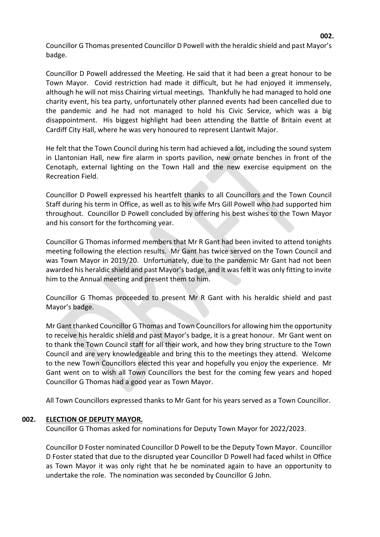Councillor G Thomas presented Councillor D Powell with the heraldic shield and past Mayor's badge.

Councillor D Powell addressed the Meeting. He said that it had been a great honour to be Town Mayor. Covid restriction had made it difficult, but he had enjoyed it immensely, although he will not miss Chairing virtual meetings. Thankfully he had managed to hold one charity event, his tea party, unfortunately other planned events had been cancelled due to the pandemic and he had not managed to hold his Civic Service, which was a big disappointment. His biggest highlight had been attending the Battle of Britain event at Cardiff City Hall, where he was very honoured to represent Llantwit Major.

He felt that the Town Council during his term had achieved a lot, including the sound system in Llantonian Hall, new fire alarm in sports pavilion, new ornate benches in front of the Cenotaph, external lighting on the Town Hall and the new exercise equipment on the Recreation Field.

Councillor D Powell expressed his heartfelt thanks to all Councillors and the Town Council Staff during his term in Office, as well as to his wife Mrs Gill Powell who had supported him throughout. Councillor D Powell concluded by offering his best wishes to the Town Mayor and his consort for the forthcoming year.

Councillor G Thomas informed members that Mr R Gant had been invited to attend tonights meeting following the election results. Mr Gant has twice served on the Town Council and was Town Mayor in 2019/20. Unfortunately, due to the pandemic Mr Gant had not been awarded his heraldic shield and past Mayor's badge, and it was felt it was only fitting to invite him to the Annual meeting and present them to him.

Councillor G Thomas proceeded to present Mr R Gant with his heraldic shield and past Mayor's badge.

Mr Gant thanked Councillor G Thomas and Town Councillors for allowing him the opportunity to receive his heraldic shield and past Mayor's badge, it is a great honour. Mr Gant went on to thank the Town Council staff for all their work, and how they bring structure to the Town Council and are very knowledgeable and bring this to the meetings they attend. Welcome to the new Town Councillors elected this year and hopefully you enjoy the experience. Mr Gant went on to wish all Town Councillors the best for the coming few years and hoped Councillor G Thomas had a good year as Town Mayor.

All Town Councillors expressed thanks to Mr Gant for his years served as a Town Councillor.

### **002. ELECTION OF DEPUTY MAYOR.**

Councillor G Thomas asked for nominations for Deputy Town Mayor for 2022/2023.

Councillor D Foster nominated Councillor D Powell to be the Deputy Town Mayor. Councillor D Foster stated that due to the disrupted year Councillor D Powell had faced whilst in Office as Town Mayor it was only right that he be nominated again to have an opportunity to undertake the role. The nomination was seconded by Councillor G John.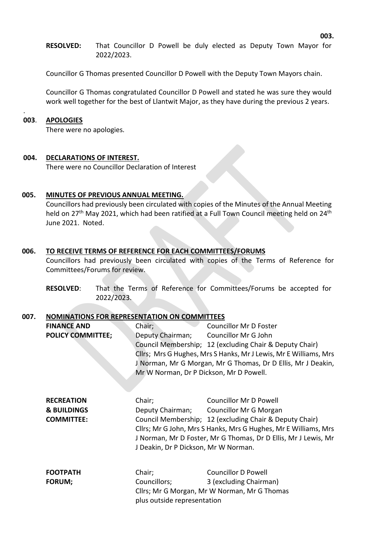**RESOLVED:** That Councillor D Powell be duly elected as Deputy Town Mayor for 2022/2023.

Councillor G Thomas presented Councillor D Powell with the Deputy Town Mayors chain.

Councillor G Thomas congratulated Councillor D Powell and stated he was sure they would work well together for the best of Llantwit Major, as they have during the previous 2 years.

#### **003**. **APOLOGIES**

.

There were no apologies.

#### **004. DECLARATIONS OF INTEREST.**

There were no Councillor Declaration of Interest

#### **005. MINUTES OF PREVIOUS ANNUAL MEETING.**

Councillors had previously been circulated with copies of the Minutes of the Annual Meeting held on 27<sup>th</sup> May 2021, which had been ratified at a Full Town Council meeting held on 24<sup>th</sup> June 2021. Noted.

#### **006. TO RECEIVE TERMS OF REFERENCE FOR EACH COMMITTEES/FORUMS**

Councillors had previously been circulated with copies of the Terms of Reference for Committees/Forums for review.

**RESOLVED**: That the Terms of Reference for Committees/Forums be accepted for 2022/2023.

#### **007. NOMINATIONS FOR REPRESENTATION ON COMMITTEES**

| <b>FINANCE AND</b><br><b>POLICY COMMITTEE;</b>                   | Chair;<br>Deputy Chairman;<br>Mr W Norman, Dr P Dickson, Mr D Powell. | Councillor Mr D Foster<br>Councillor Mr G John<br>Council Membership; 12 (excluding Chair & Deputy Chair)<br>Cllrs; Mrs G Hughes, Mrs S Hanks, Mr J Lewis, Mr E Williams, Mrs<br>J Norman, Mr G Morgan, Mr G Thomas, Dr D Ellis, Mr J Deakin,                            |
|------------------------------------------------------------------|-----------------------------------------------------------------------|--------------------------------------------------------------------------------------------------------------------------------------------------------------------------------------------------------------------------------------------------------------------------|
| <b>RECREATION</b><br><b>&amp; BUILDINGS</b><br><b>COMMITTEE:</b> | Chair;<br>J Deakin, Dr P Dickson, Mr W Norman.                        | <b>Councillor Mr D Powell</b><br>Deputy Chairman; Councillor Mr G Morgan<br>Council Membership; 12 (excluding Chair & Deputy Chair)<br>Cllrs; Mr G John, Mrs S Hanks, Mrs G Hughes, Mr E Williams, Mrs<br>J Norman, Mr D Foster, Mr G Thomas, Dr D Ellis, Mr J Lewis, Mr |
| <b>FOOTPATH</b><br><b>FORUM;</b>                                 | Chair;<br>Councillors;<br>plus outside representation                 | <b>Councillor D Powell</b><br>3 (excluding Chairman)<br>Cllrs; Mr G Morgan, Mr W Norman, Mr G Thomas                                                                                                                                                                     |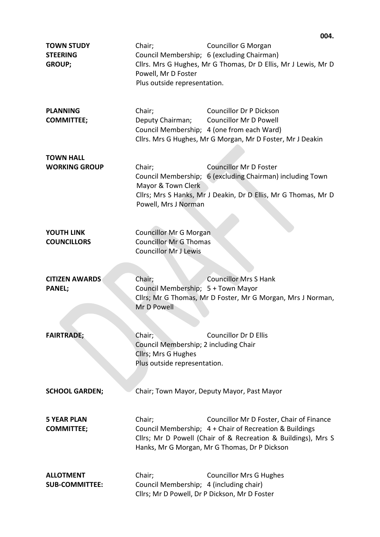|                                                       |                                                                                                        | 004.                                                                                                                                                                                                                  |
|-------------------------------------------------------|--------------------------------------------------------------------------------------------------------|-----------------------------------------------------------------------------------------------------------------------------------------------------------------------------------------------------------------------|
| <b>TOWN STUDY</b><br><b>STEERING</b><br><b>GROUP;</b> | Chair;<br>Powell, Mr D Foster<br>Plus outside representation.                                          | <b>Councillor G Morgan</b><br>Council Membership; 6 (excluding Chairman)<br>Cllrs. Mrs G Hughes, Mr G Thomas, Dr D Ellis, Mr J Lewis, Mr D                                                                            |
| <b>PLANNING</b><br><b>COMMITTEE;</b>                  | Chair;<br>Deputy Chairman;                                                                             | <b>Councillor Dr P Dickson</b><br><b>Councillor Mr D Powell</b><br>Council Membership; 4 (one from each Ward)<br>Cllrs. Mrs G Hughes, Mr G Morgan, Mr D Foster, Mr J Deakin                                           |
| <b>TOWN HALL</b><br><b>WORKING GROUP</b>              | Chair;<br>Mayor & Town Clerk<br>Powell, Mrs J Norman                                                   | <b>Councillor Mr D Foster</b><br>Council Membership; 6 (excluding Chairman) including Town<br>Cllrs; Mrs S Hanks, Mr J Deakin, Dr D Ellis, Mr G Thomas, Mr D                                                          |
| <b>YOUTH LINK</b><br><b>COUNCILLORS</b>               | <b>Councillor Mr G Morgan</b><br><b>Councillor Mr G Thomas</b><br><b>Councillor Mr J Lewis</b>         |                                                                                                                                                                                                                       |
| <b>CITIZEN AWARDS</b><br><b>PANEL;</b>                | Chair;<br>Council Membership; 5 + Town Mayor<br>Mr D Powell                                            | <b>Councillor Mrs S Hank</b><br>Cllrs; Mr G Thomas, Mr D Foster, Mr G Morgan, Mrs J Norman,                                                                                                                           |
| <b>FAIRTRADE;</b>                                     | Chair;<br>Council Membership; 2 including Chair<br>Cllrs; Mrs G Hughes<br>Plus outside representation. | <b>Councillor Dr D Ellis</b>                                                                                                                                                                                          |
| <b>SCHOOL GARDEN;</b>                                 |                                                                                                        | Chair; Town Mayor, Deputy Mayor, Past Mayor                                                                                                                                                                           |
| <b>5 YEAR PLAN</b><br><b>COMMITTEE;</b>               | Chair;                                                                                                 | Councillor Mr D Foster, Chair of Finance<br>Council Membership; 4 + Chair of Recreation & Buildings<br>Cllrs; Mr D Powell (Chair of & Recreation & Buildings), Mrs S<br>Hanks, Mr G Morgan, Mr G Thomas, Dr P Dickson |
| <b>ALLOTMENT</b><br><b>SUB-COMMITTEE:</b>             | Chair;<br>Council Membership; 4 (including chair)<br>Cllrs; Mr D Powell, Dr P Dickson, Mr D Foster     | <b>Councillor Mrs G Hughes</b>                                                                                                                                                                                        |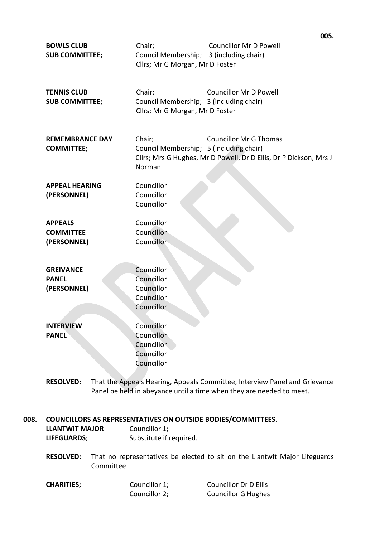| <b>BOWLS CLUB</b><br><b>SUB COMMITTEE;</b>        | Chair;<br>Council Membership; 3 (including chair)<br>Cllrs; Mr G Morgan, Mr D Foster | UU5,<br><b>Councillor Mr D Powell</b>                                                              |
|---------------------------------------------------|--------------------------------------------------------------------------------------|----------------------------------------------------------------------------------------------------|
| <b>TENNIS CLUB</b><br><b>SUB COMMITTEE;</b>       | Chair;<br>Council Membership; 3 (including chair)<br>Cllrs; Mr G Morgan, Mr D Foster | <b>Councillor Mr D Powell</b>                                                                      |
| <b>REMEMBRANCE DAY</b><br><b>COMMITTEE;</b>       | Chair;<br>Council Membership; 5 (including chair)<br>Norman                          | <b>Councillor Mr G Thomas</b><br>Cllrs; Mrs G Hughes, Mr D Powell, Dr D Ellis, Dr P Dickson, Mrs J |
| <b>APPEAL HEARING</b><br>(PERSONNEL)              | Councillor<br>Councillor<br>Councillor                                               |                                                                                                    |
| <b>APPEALS</b><br><b>COMMITTEE</b><br>(PERSONNEL) | Councillor<br>Councillor<br>Councillor                                               |                                                                                                    |
| <b>GREIVANCE</b><br><b>PANEL</b><br>(PERSONNEL)   | Councillor<br>Councillor<br>Councillor<br>Councillor<br>Councillor                   |                                                                                                    |
| <b>INTERVIEW</b><br><b>PANEL</b>                  | Councillor<br>Councillor<br>Councillor<br>Councillor<br>Councillor                   |                                                                                                    |
| <b>RESOLVED:</b>                                  |                                                                                      | That the Appeals Hearing, Appeals Committee, Interview Panel and Grievance                         |

ig, Appeals Committee, Panel be held in abeyance until a time when they are needed to meet.

# **008. COUNCILLORS AS REPRESENTATIVES ON OUTSIDE BODIES/COMMITTEES. LLANTWIT MAJOR** Councillor 1;

- **LIFEGUARDS**; Substitute if required.
- **RESOLVED:** That no representatives be elected to sit on the Llantwit Major Lifeguards Committee
- **CHARITIES;** Councillor 1; Councillor Dr D Ellis Councillor 2; Councillor G Hughes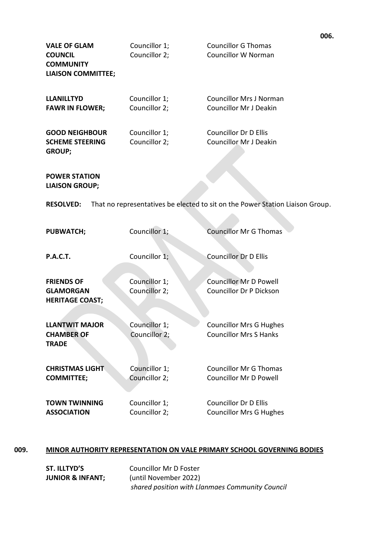| <b>VALE OF GLAM</b><br><b>COUNCIL</b><br><b>COMMUNITY</b><br><b>LIAISON COMMITTEE;</b> | Councillor 1;<br>Councillor 2; | <b>Councillor G Thomas</b><br><b>Councillor W Norman</b>                      |
|----------------------------------------------------------------------------------------|--------------------------------|-------------------------------------------------------------------------------|
| <b>LLANILLTYD</b>                                                                      | Councillor 1;                  | <b>Councillor Mrs J Norman</b>                                                |
| <b>FAWR IN FLOWER;</b>                                                                 | Councillor 2;                  | <b>Councillor Mr J Deakin</b>                                                 |
| <b>GOOD NEIGHBOUR</b>                                                                  | Councillor 1;                  | <b>Councillor Dr D Ellis</b>                                                  |
| <b>SCHEME STEERING</b><br><b>GROUP;</b>                                                | Councillor 2;                  | <b>Councillor Mr J Deakin</b>                                                 |
|                                                                                        |                                |                                                                               |
| <b>POWER STATION</b><br><b>LIAISON GROUP;</b>                                          |                                |                                                                               |
| <b>RESOLVED:</b>                                                                       |                                | That no representatives be elected to sit on the Power Station Liaison Group. |
| <b>PUBWATCH;</b>                                                                       | Councillor 1;                  | <b>Councillor Mr G Thomas</b>                                                 |
| <b>P.A.C.T.</b>                                                                        | Councillor 1;                  | <b>Councillor Dr D Ellis</b>                                                  |
| <b>FRIENDS OF</b>                                                                      | Councillor 1;                  | <b>Councillor Mr D Powell</b>                                                 |
| <b>GLAMORGAN</b><br><b>HERITAGE COAST;</b>                                             | Councillor 2;                  | <b>Councillor Dr P Dickson</b>                                                |
| <b>LLANTWIT MAJOR</b>                                                                  | Councillor 1;                  | <b>Councillor Mrs G Hughes</b>                                                |
| <b>CHAMBER OF</b><br><b>TRADE</b>                                                      | Councillor 2;                  | <b>Councillor Mrs S Hanks</b>                                                 |
| <b>CHRISTMAS LIGHT</b>                                                                 | Councillor 1;                  | <b>Councillor Mr G Thomas</b>                                                 |
| <b>COMMITTEE;</b>                                                                      | Councillor 2;                  | <b>Councillor Mr D Powell</b>                                                 |
| <b>TOWN TWINNING</b>                                                                   | Councillor 1;                  | <b>Councillor Dr D Ellis</b>                                                  |
| <b>ASSOCIATION</b>                                                                     | Councillor 2;                  | <b>Councillor Mrs G Hughes</b>                                                |

# **009. MINOR AUTHORITY REPRESENTATION ON VALE PRIMARY SCHOOL GOVERNING BODIES**

| ST. ILLTYD'S                | <b>Councillor Mr D Foster</b>                   |
|-----------------------------|-------------------------------------------------|
| <b>JUNIOR &amp; INFANT;</b> | (until November 2022)                           |
|                             | shared position with Llanmaes Community Council |